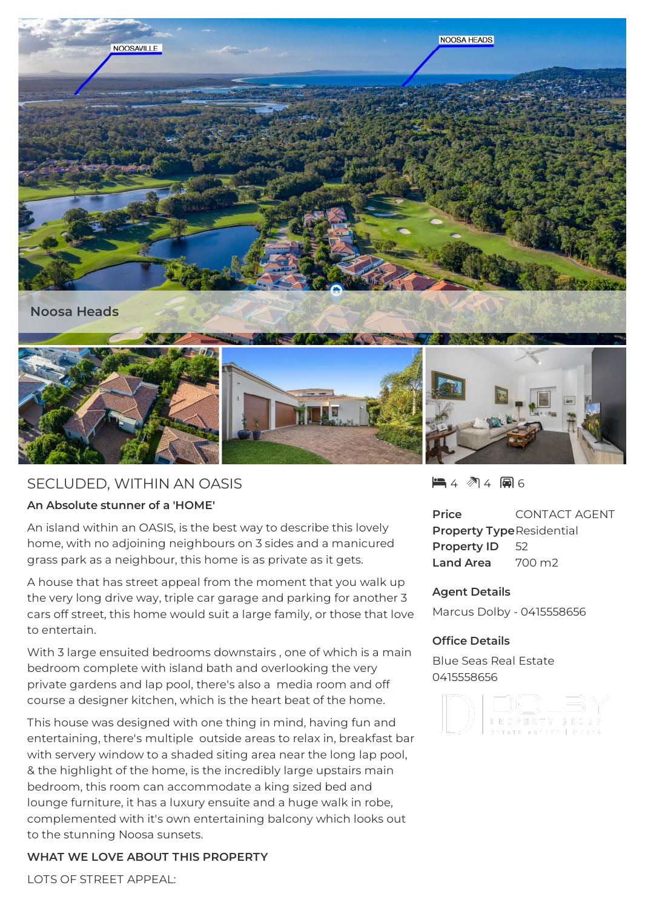

# SECLUDED, WITHIN AN OASIS

## **An Absolute stunner of a 'HOME'**

An island within an OASIS, is the best way to describe this lovely home, with no adjoining neighbours on 3 sides and a manicured grass park as a neighbour, this home is as private as it gets.

A house that has street appeal from the moment that you walk up the very long drive way, triple car garage and parking for another 3 cars off street, this home would suit a large family, or those that love to entertain.

With 3 large ensuited bedrooms downstairs , one of which is a main bedroom complete with island bath and overlooking the very private gardens and lap pool, there's also a media room and off course a designer kitchen, which is the heart beat of the home.

This house was designed with one thing in mind, having fun and entertaining, there's multiple outside areas to relax in, breakfast bar with servery window to a shaded siting area near the long lap pool, & the highlight of the home, is the incredibly large upstairs main bedroom, this room can accommodate a king sized bed and lounge furniture, it has a luxury ensuite and a huge walk in robe, complemented with it's own entertaining balcony which looks out to the stunning Noosa sunsets.

## **WHAT WE LOVE ABOUT THIS PROPERTY**

LOTS OF STREET APPEAL:

4 4 6

**Price** CONTACT AGENT **Property Type**Residential **Property ID** 52 **Land Area** 700 m2

### **Agent Details**

Marcus Dolby - 0415558656

## **Office Details**

Blue Seas Real Estate 0415558656